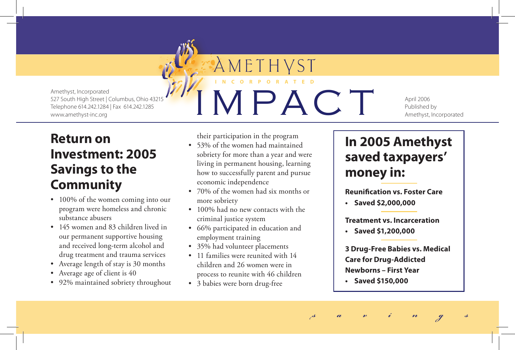

## **Investment: 2005 Savings to the Community**

- 100% of the women coming into our program were homeless and chronic substance abusers
- 145 women and 83 children lived in our permanent supportive housing and received long-term alcohol and drug treatment and trauma services
- • Average length of stay is 30 months
- Average age of client is 40

**Return on** 

• 92% maintained sobriety throughout

their participation in the program

AMETH

**I N C O R P O R A T E D**

- • 53% of the women had maintained sobriety for more than a year and were living in permanent housing, learning how to successfully parent and pursue economic independence
- • 70% of the women had six months or more sobriety
- 100% had no new contacts with the criminal justice system
- 66% participated in education and employment training
- 35% had volunteer placements
- • 11 families were reunited with 14 children and 26 women were in process to reunite with 46 children
- • 3 babies were born drug-free

## **In 2005 Amethyst saved taxpayers' money in:**

April 2006 Published by

Amethyst, Incorporated

**Reunification vs. Foster Care**

**• Saved \$2,000,000**

**Treatment vs. Incarceration**

**• Saved \$1,200,000**

**3 Drug-Free Babies vs. Medical Care for Drug-Addicted Newborns – First Year**

**• Saved \$150,000**